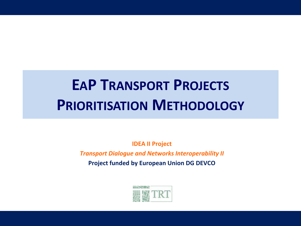# **EAP TRANSPORT PROJECTS PRIORITISATION METHODOLOGY**

**IDEA II Project**

*Transport Dialogue and Networks Interoperability II* **Project funded by European Union DG DEVCO**

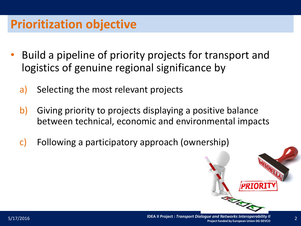### **Prioritization objective**

- Build a pipeline of priority projects for transport and logistics of genuine regional significance by
	- a) Selecting the most relevant projects
	- b) Giving priority to projects displaying a positive balance between technical, economic and environmental impacts
	- c) Following a participatory approach (ownership)

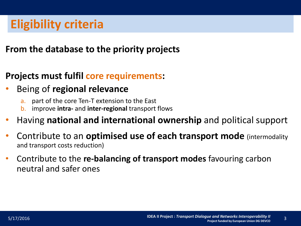#### **From the database to the priority projects**

#### **Projects must fulfil core requirements:**

- Being of **regional relevance**
	- a. part of the core Ten-T extension to the East
	- b. improve **intra-** and **inter-regional** transport flows
- Having **national and international ownership** and political support
- Contribute to an **optimised use of each transport mode** (intermodality and transport costs reduction)
- Contribute to the **re-balancing of transport modes** favouring carbon neutral and safer ones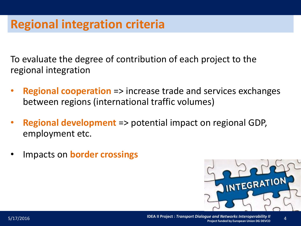### **Regional integration criteria**

To evaluate the degree of contribution of each project to the regional integration

- **Regional cooperation** => increase trade and services exchanges between regions (international traffic volumes)
- **Regional development** => potential impact on regional GDP, employment etc.
- Impacts on **border crossings**

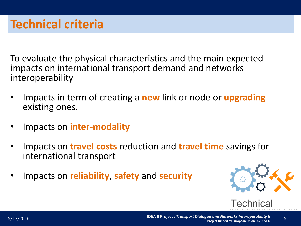To evaluate the physical characteristics and the main expected impacts on international transport demand and networks interoperability

- Impacts in term of creating a **new** link or node or **upgrading** existing ones.
- Impacts on **inter-modality**
- Impacts on **travel costs** reduction and **travel time** savings for international transport
- Impacts on **reliability**, **safety** and **security**



**Technical** 

5/17/2016 **IDEA II Project :** *Transport Dialogue and Networks Interoperability II* **Project funded by European Union DG DEVCO**<br>Project funded by European Union DG DEVCO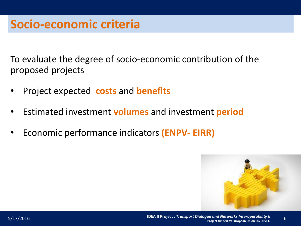To evaluate the degree of socio-economic contribution of the proposed projects

- Project expected **costs** and **benefits**
- Estimated investment **volumes** and investment **period**
- Economic performance indicators **(ENPV- EIRR)**

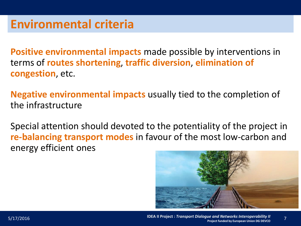**Positive environmental impacts** made possible by interventions in terms of **routes shortening**, **traffic diversion**, **elimination of congestion**, etc.

**Negative environmental impacts** usually tied to the completion of the infrastructure

Special attention should devoted to the potentiality of the project in **re-balancing transport modes** in favour of the most low-carbon and energy efficient ones

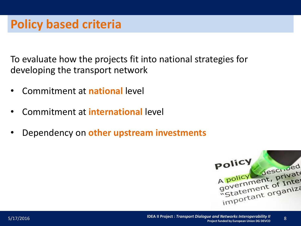To evaluate how the projects fit into national strategies for developing the transport network

- Commitment at **national** level
- Commitment at **international** level
- Dependency on **other upstream investments**

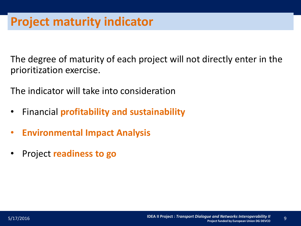The degree of maturity of each project will not directly enter in the prioritization exercise.

The indicator will take into consideration

- Financial **profitability and sustainability**
- **Environmental Impact Analysis**
- Project **readiness to go**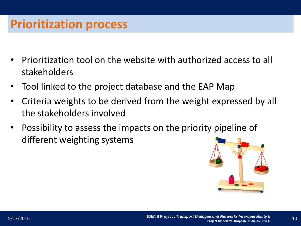### **Prioritization process**

- Prioritization tool on the website with authorized access to all stakeholders
- Tool linked to the project database and the EAP Map
- Criteria weights to be derived from the weight expressed by all the stakeholders involved
- Possibility to assess the impacts on the priority pipeline of different weighting systems